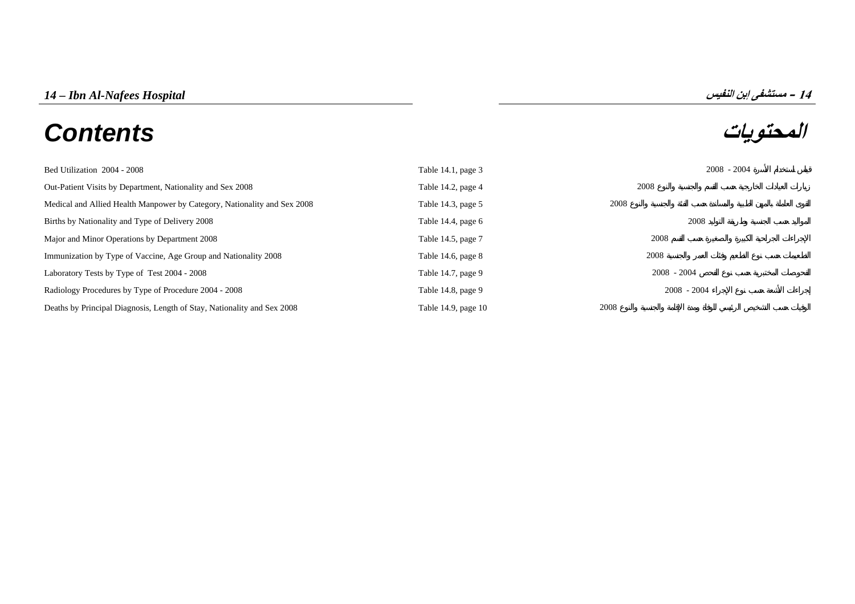# **المحتويات** *Contents*



| Bed Utilization 2004 - 2008                                              | Table $14.1$ , page 3 | $2008 - 2004$ |
|--------------------------------------------------------------------------|-----------------------|---------------|
| Out-Patient Visits by Department, Nationality and Sex 2008               | Table 14.2, page 4    | 2008          |
| Medical and Allied Health Manpower by Category, Nationality and Sex 2008 | Table 14.3, page $5$  | 2008          |
| Births by Nationality and Type of Delivery 2008                          | Table 14.4, page 6    | 2008          |
| Major and Minor Operations by Department 2008                            | Table 14.5, page 7    | 2008          |
| Immunization by Type of Vaccine, Age Group and Nationality 2008          | Table 14.6, page $8$  | 2008          |
| Laboratory Tests by Type of Test 2004 - 2008                             | Table 14.7, page 9    | $2008 - 2004$ |
| Radiology Procedures by Type of Procedure 2004 - 2008                    | Table 14.8, page 9    | $2008 - 2004$ |
| Deaths by Principal Diagnosis, Length of Stay, Nationality and Sex 2008  | Table 14.9, page 10   | 2008          |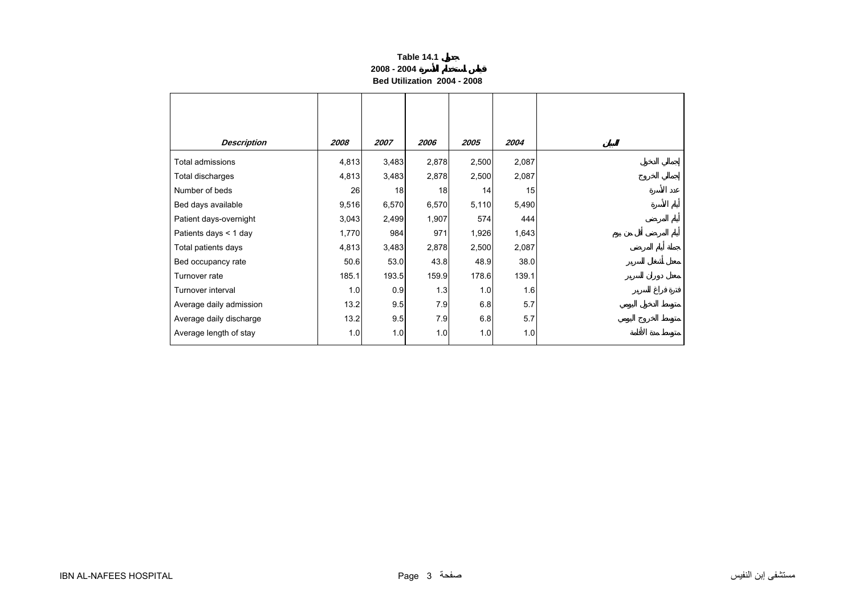# **Table 14.1 2008 - 2004Bed Utilization 2004 - 2008**

<span id="page-2-0"></span>

| <b>Description</b>      | 2008  | 2007  | 2006  | 2005  | 2004  |
|-------------------------|-------|-------|-------|-------|-------|
| Total admissions        | 4,813 | 3,483 | 2,878 | 2,500 | 2,087 |
| Total discharges        | 4,813 | 3,483 | 2,878 | 2,500 | 2,087 |
| Number of beds          | 26    | 18    | 18    | 14    | 15    |
| Bed days available      | 9,516 | 6,570 | 6,570 | 5,110 | 5,490 |
| Patient days-overnight  | 3,043 | 2,499 | 1,907 | 574   | 444   |
| Patients days < 1 day   | 1,770 | 984   | 971   | 1,926 | 1,643 |
| Total patients days     | 4,813 | 3,483 | 2,878 | 2,500 | 2,087 |
| Bed occupancy rate      | 50.6  | 53.0  | 43.8  | 48.9  | 38.0  |
| Turnover rate           | 185.1 | 193.5 | 159.9 | 178.6 | 139.1 |
| Turnover interval       | 1.0   | 0.9   | 1.3   | 1.0   | 1.6   |
| Average daily admission | 13.2  | 9.5   | 7.9   | 6.8   | 5.7   |
| Average daily discharge | 13.2  | 9.5   | 7.9   | 6.8   | 5.7   |
| Average length of stay  | 1.0   | 1.0   | 1.0   | 1.0   | 1.0   |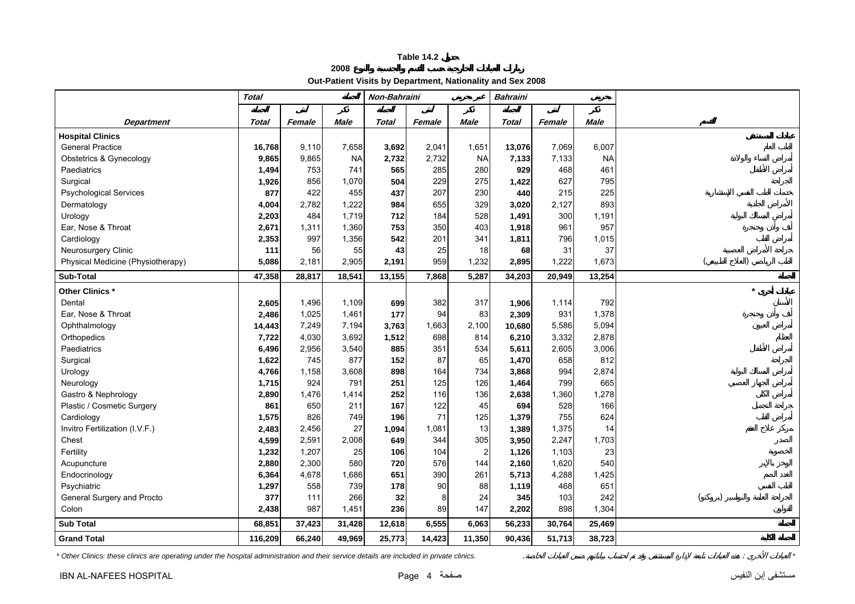**2008**

**Out-Patient Visits by Department, Nationality and Sex 2008** 

<span id="page-3-0"></span>

|                                   | <b>Total</b> |        |           | Non-Bahraini |        |                | <b>Bahraini</b> |        |             |  |
|-----------------------------------|--------------|--------|-----------|--------------|--------|----------------|-----------------|--------|-------------|--|
|                                   |              |        |           |              |        |                |                 |        |             |  |
| <b>Department</b>                 | Total        | Female | Male      | Total        | Female | Male           | Total           | Female | <b>Male</b> |  |
| <b>Hospital Clinics</b>           |              |        |           |              |        |                |                 |        |             |  |
| <b>General Practice</b>           | 16,768       | 9,110  | 7,658     | 3,692        | 2,041  | 1,651          | 13,076          | 7,069  | 6,007       |  |
| Obstetrics & Gynecology           | 9,865        | 9,865  | <b>NA</b> | 2,732        | 2,732  | <b>NA</b>      | 7,133           | 7,133  | <b>NA</b>   |  |
| Paediatrics                       | 1,494        | 753    | 741       | 565          | 285    | 280            | 929             | 468    | 461         |  |
| Surgical                          | 1,926        | 856    | 1,070     | 504          | 229    | 275            | 1,422           | 627    | 795         |  |
| <b>Psychological Services</b>     | 877          | 422    | 455       | 437          | 207    | 230            | 440             | 215    | 225         |  |
| Dermatology                       | 4,004        | 2,782  | 1,222     | 984          | 655    | 329            | 3,020           | 2,127  | 893         |  |
| Urology                           | 2,203        | 484    | 1,719     | 712          | 184    | 528            | 1,491           | 300    | 1,191       |  |
| Ear, Nose & Throat                | 2,671        | 1,311  | 1,360     | 753          | 350    | 403            | 1,918           | 961    | 957         |  |
| Cardiology                        | 2,353        | 997    | 1,356     | 542          | 201    | 341            | 1,811           | 796    | 1,015       |  |
| Neurosurgery Clinic               | 111          | 56     | 55        | 43           | 25     | 18             | 68              | 31     | 37          |  |
| Physical Medicine (Physiotherapy) | 5,086        | 2,181  | 2,905     | 2,191        | 959    | 1,232          | 2,895           | 1,222  | 1,673       |  |
| Sub-Total                         | 47,358       | 28,817 | 18,541    | 13,155       | 7,868  | 5,287          | 34,203          | 20,949 | 13,254      |  |
| Other Clinics *                   |              |        |           |              |        |                |                 |        |             |  |
| Dental                            | 2,605        | 1,496  | 1,109     | 699          | 382    | 317            | 1,906           | 1,114  | 792         |  |
| Ear, Nose & Throat                | 2,486        | 1,025  | 1,461     | 177          | 94     | 83             | 2,309           | 931    | 1,378       |  |
| Ophthalmology                     | 14,443       | 7,249  | 7,194     | 3,763        | 1,663  | 2,100          | 10,680          | 5,586  | 5,094       |  |
| Orthopedics                       | 7,722        | 4,030  | 3,692     | 1,512        | 698    | 814            | 6,210           | 3,332  | 2,878       |  |
| Paediatrics                       | 6,496        | 2,956  | 3,540     | 885          | 351    | 534            | 5,611           | 2,605  | 3,006       |  |
| Surgical                          | 1,622        | 745    | 877       | 152          | 87     | 65             | 1,470           | 658    | 812         |  |
| Urology                           | 4,766        | 1,158  | 3,608     | 898          | 164    | 734            | 3,868           | 994    | 2,874       |  |
| Neurology                         | 1,715        | 924    | 791       | 251          | 125    | 126            | 1,464           | 799    | 665         |  |
| Gastro & Nephrology               | 2,890        | 1,476  | 1,414     | 252          | 116    | 136            | 2,638           | 1,360  | 1,278       |  |
| Plastic / Cosmetic Surgery        | 861          | 650    | 211       | 167          | 122    | 45             | 694             | 528    | 166         |  |
| Cardiology                        | 1,575        | 826    | 749       | 196          | 71     | 125            | 1,379           | 755    | 624         |  |
| Invitro Fertilization (I.V.F.)    | 2,483        | 2,456  | 27        | 1,094        | 1,081  | 13             | 1,389           | 1,375  | 14          |  |
| Chest                             | 4,599        | 2,591  | 2,008     | 649          | 344    | 305            | 3,950           | 2,247  | 1,703       |  |
| Fertility                         | 1,232        | 1,207  | 25        | 106          | 104    | $\overline{2}$ | 1,126           | 1,103  | 23          |  |
| Acupuncture                       | 2,880        | 2,300  | 580       | 720          | 576    | 144            | 2,160           | 1,620  | 540         |  |
| Endocrinology                     | 6,364        | 4,678  | 1,686     | 651          | 390    | 261            | 5,713           | 4,288  | 1,425       |  |
| Psychiatric                       | 1,297        | 558    | 739       | 178          | 90     | 88             | 1,119           | 468    | 651         |  |
| General Surgery and Procto        | 377          | 111    | 266       | 32           | 8      | 24             | 345             | 103    | 242         |  |
| Colon                             | 2,438        | 987    | 1,451     | 236          | 89     | 147            | 2,202           | 898    | 1,304       |  |
| <b>Sub Total</b>                  | 68,851       | 37,423 | 31,428    | 12,618       | 6,555  | 6,063          | 56,233          | 30,764 | 25,469      |  |
| <b>Grand Total</b>                | 116,209      | 66,240 | 49,969    | 25,773       | 14,423 | 11,350         | 90,436          | 51,713 | 38,723      |  |

*\* Other Clinics: these clinics are operating under the hospital administration and their service details are included in private clinics.* . : *\**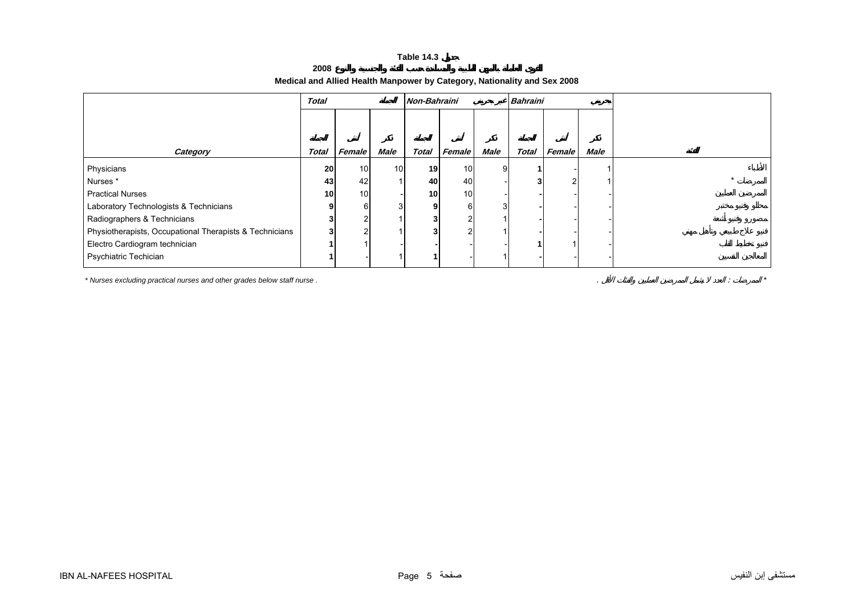**2008**

# **Medical and Allied Health Manpower by Category, Nationality and Sex 2008**

<span id="page-4-0"></span>

|                                                         | <b>Total</b>    |                 |                 |                 | <b>Bahraini</b><br>Non-Bahraini |      |       |        |      |  |
|---------------------------------------------------------|-----------------|-----------------|-----------------|-----------------|---------------------------------|------|-------|--------|------|--|
|                                                         |                 |                 |                 |                 |                                 |      |       |        |      |  |
| Category                                                | Total           | Female          | <b>Male</b>     | <b>Total</b>    | Female                          | Male | Total | Female | Male |  |
| Physicians                                              | 20              | 10              | 10 <sup>1</sup> | 19              | 10 <sup>1</sup>                 |      |       |        |      |  |
| Nurses*                                                 | 43              | 42              |                 | 40              | 40                              |      |       |        |      |  |
| <b>Practical Nurses</b>                                 | 10 <sup>1</sup> | 10 <sub>l</sub> |                 | 10 <sub>1</sub> | 10 <sub>1</sub>                 |      |       |        |      |  |
| Laboratory Technologists & Technicians                  |                 | 6               | 3               |                 | 6                               |      |       |        |      |  |
| Radiographers & Technicians                             |                 |                 |                 |                 |                                 |      |       |        |      |  |
| Physiotherapists, Occupational Therapists & Technicians |                 |                 |                 |                 | $\sqrt{2}$                      |      |       |        |      |  |
| Electro Cardiogram technician                           |                 |                 |                 |                 |                                 |      |       |        |      |  |
| Psychiatric Techician                                   |                 |                 |                 |                 |                                 |      |       |        |      |  |

*\* Nurses excluding practical nurses and other grades below staff nurse .* . : *\**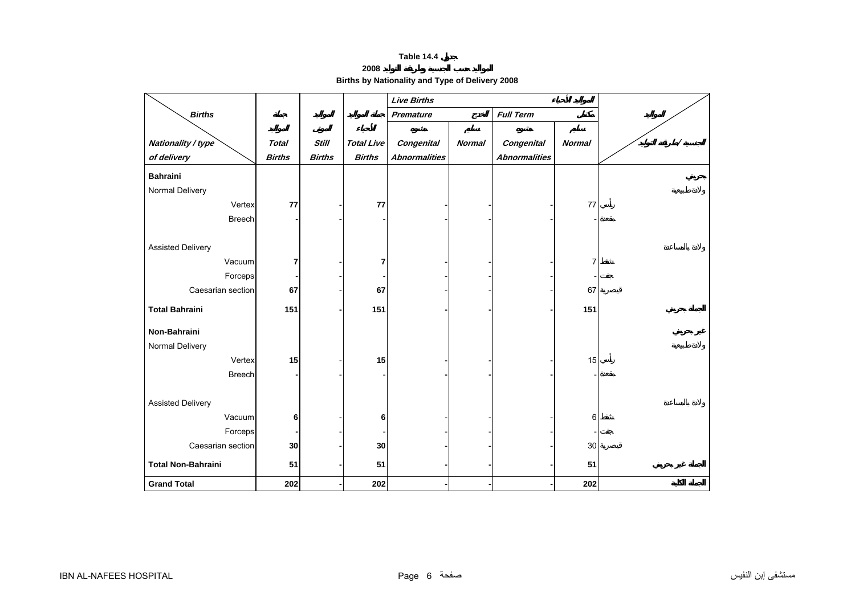**2008** 

**Births by Nationality and Type of Delivery 2008** 

<span id="page-5-0"></span>

|                           |               |               |                   | <b>Live Births</b>   |               |                      |                |   |
|---------------------------|---------------|---------------|-------------------|----------------------|---------------|----------------------|----------------|---|
| <b>Births</b>             |               |               |                   | Premature            |               | <b>Full Term</b>     |                |   |
|                           |               |               |                   |                      |               |                      |                |   |
| Nationality / type        | <b>Total</b>  | <b>Still</b>  | <b>Total Live</b> | <b>Congenital</b>    | <b>Normal</b> | <b>Congenital</b>    | <b>Normal</b>  | Ι |
| of delivery               | <b>Births</b> | <b>Births</b> | <b>Births</b>     | <b>Abnormalities</b> |               | <b>Abnormalities</b> |                |   |
| <b>Bahraini</b>           |               |               |                   |                      |               |                      |                |   |
| Normal Delivery           |               |               |                   |                      |               |                      |                |   |
| Vertex                    | 77            |               | 77                |                      |               |                      | 77             |   |
| <b>Breech</b>             |               |               |                   |                      |               |                      |                |   |
|                           |               |               |                   |                      |               |                      |                |   |
| <b>Assisted Delivery</b>  |               |               |                   |                      |               |                      |                |   |
| Vacuum                    | 7             |               | 7                 |                      |               |                      | $\overline{7}$ |   |
| Forceps                   |               |               |                   |                      |               |                      |                |   |
| Caesarian section         | 67            |               | 67                |                      |               |                      | 67             |   |
| <b>Total Bahraini</b>     | 151           |               | 151               |                      |               |                      | 151            |   |
|                           |               |               |                   |                      |               |                      |                |   |
| Non-Bahraini              |               |               |                   |                      |               |                      |                |   |
| Normal Delivery           |               |               |                   |                      |               |                      |                |   |
| Vertex                    | 15            |               | 15                |                      |               |                      | 15             |   |
| <b>Breech</b>             |               |               |                   |                      |               |                      |                |   |
|                           |               |               |                   |                      |               |                      |                |   |
| <b>Assisted Delivery</b>  |               |               |                   |                      |               |                      |                |   |
| Vacuum                    | 6             |               | 6                 |                      |               |                      | 6              |   |
| Forceps                   |               |               |                   |                      |               |                      |                |   |
| Caesarian section         | 30            |               | 30                |                      |               |                      | 30             |   |
| <b>Total Non-Bahraini</b> | 51            |               | 51                |                      |               |                      | 51             |   |
| <b>Grand Total</b>        | 202           |               | 202               |                      |               |                      | 202            |   |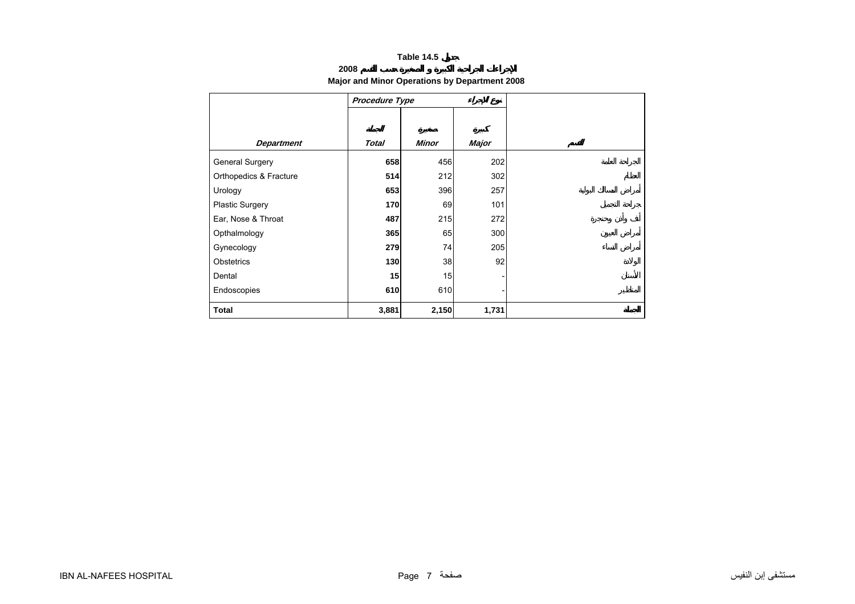# **2008**

# **Major and Minor Operations by Department 2008**

<span id="page-6-0"></span>

|                        | <b>Procedure Type</b> |              |       |  |
|------------------------|-----------------------|--------------|-------|--|
|                        |                       |              |       |  |
|                        |                       |              |       |  |
| <b>Department</b>      | <b>Total</b>          | <b>Minor</b> | Major |  |
| General Surgery        | 658                   | 456          | 202   |  |
| Orthopedics & Fracture | 514                   | 212          | 302   |  |
| Urology                | 653                   | 396          | 257   |  |
| <b>Plastic Surgery</b> | 170                   | 69           | 101   |  |
| Ear, Nose & Throat     | 487                   | 215          | 272   |  |
| Opthalmology           | 365                   | 65           | 300   |  |
| Gynecology             | 279                   | 74           | 205   |  |
| Obstetrics             | 130                   | 38           | 92    |  |
| Dental                 | 15                    | 15           |       |  |
| Endoscopies            | 610                   | 610          |       |  |
| <b>Total</b>           | 3,881                 | 2,150        | 1,731 |  |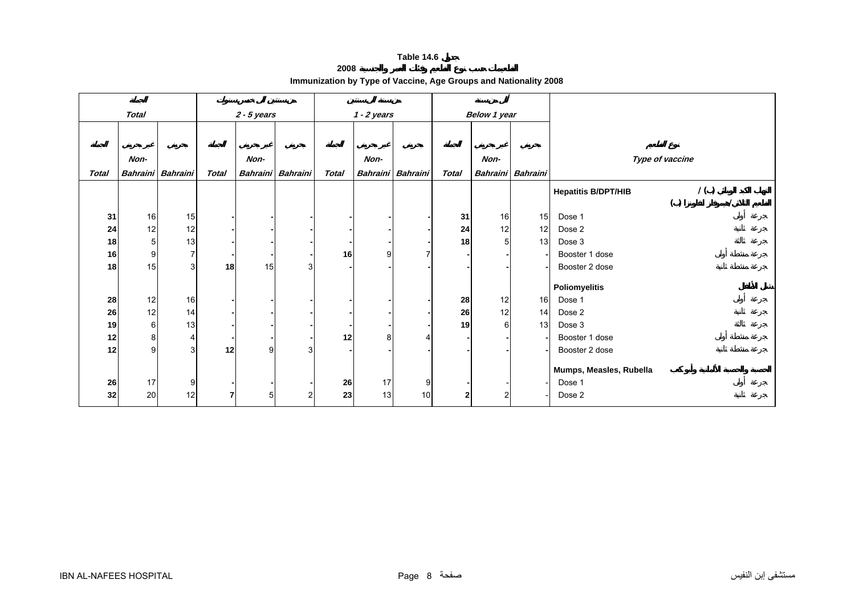**2008**

| Immunization by Type of Vaccine, Age Groups and Nationality 2008 |  |  |  |  |  |
|------------------------------------------------------------------|--|--|--|--|--|
|------------------------------------------------------------------|--|--|--|--|--|

<span id="page-7-0"></span>

|              | <b>Total</b>   |                   |                | $2 - 5$ years  |                   |              | $1 - 2$ years |                   |                | <b>Below 1 year</b> |                   |                                   |
|--------------|----------------|-------------------|----------------|----------------|-------------------|--------------|---------------|-------------------|----------------|---------------------|-------------------|-----------------------------------|
|              |                |                   |                |                |                   |              |               |                   |                |                     |                   |                                   |
|              |                |                   |                |                |                   |              |               |                   |                |                     |                   |                                   |
|              | Non-           |                   |                | Non-           |                   |              | Non-          |                   |                | Non-                |                   | Type of vaccine                   |
| <b>Total</b> |                | Bahraini Bahraini | <b>Total</b>   |                | Bahraini Bahraini | <b>Total</b> |               | Bahraini Bahraini | <b>Total</b>   |                     | Bahraini Bahraini |                                   |
|              |                |                   |                |                |                   |              |               |                   |                |                     |                   | 1()<br><b>Hepatitis B/DPT/HIB</b> |
|              |                |                   |                |                |                   |              |               |                   |                |                     |                   | ( )                               |
| 31           | $16\,$         | 15                |                |                |                   |              |               |                   | 31             | 16                  | 15                | Dose 1                            |
| 24           | 12             | 12                |                |                |                   |              |               |                   | 24             | 12                  | 12                | Dose 2                            |
| 18           | 5 <sup>1</sup> | 13                |                |                |                   |              |               |                   | 18             |                     | 13                | Dose 3                            |
| 16           | 9              | $\overline{7}$    |                |                |                   | 16           | 9             | 7                 |                |                     |                   | Booster 1 dose                    |
| 18           | 15             | 3 <sup>1</sup>    | 18             | 15             | 3                 |              |               |                   |                |                     |                   | Booster 2 dose                    |
|              |                |                   |                |                |                   |              |               |                   |                |                     |                   | <b>Poliomyelitis</b>              |
| 28           | 12             | 16                |                |                |                   |              |               |                   | 28             | 12                  | 16                | Dose 1                            |
| 26           | 12             | 14                |                |                |                   |              |               |                   | 26             | 12                  | 14                | Dose 2                            |
| 19           | $6 \,$         | 13                |                |                |                   |              |               |                   | 19             | 6                   | 13                | Dose 3                            |
| 12           | 8              | 4                 |                |                |                   | 12           | 8             | 4                 |                |                     |                   | Booster 1 dose                    |
| 12           | 9              | 3 <sup>1</sup>    | 12             | 9              | 3                 |              |               |                   |                |                     |                   | Booster 2 dose                    |
|              |                |                   |                |                |                   |              |               |                   |                |                     |                   |                                   |
|              |                |                   |                |                |                   |              |               |                   |                |                     |                   | Mumps, Measles, Rubella           |
| 26           | 17             | 9                 |                |                |                   | 26           | 17            | 9                 |                |                     |                   | Dose 1                            |
| 32           | 20             | 12                | $\overline{7}$ | 5 <sub>l</sub> | 2                 | 23           | 13            | 10                | $\overline{2}$ | 2                   |                   | Dose 2                            |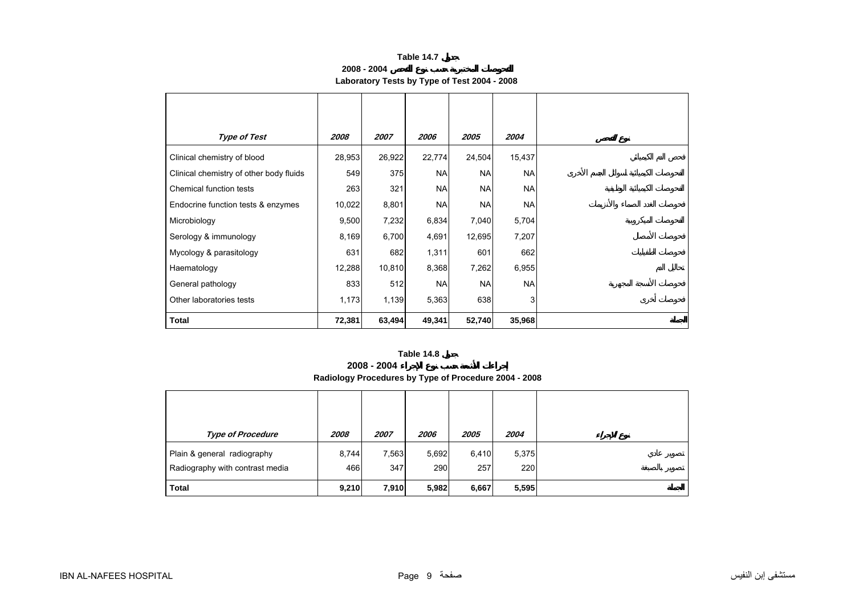**2008 - 2004**

# **Laboratory Tests by Type of Test 2004 - 2008**

<span id="page-8-0"></span>

| <b>Type of Test</b>                     | 2008   | 2007   | 2006      | 2005      | 2004      |
|-----------------------------------------|--------|--------|-----------|-----------|-----------|
| Clinical chemistry of blood             | 28,953 | 26,922 | 22,774    | 24,504    | 15,437    |
| Clinical chemistry of other body fluids | 549    | 375    | <b>NA</b> | <b>NA</b> | <b>NA</b> |
| Chemical function tests                 | 263    | 321    | <b>NA</b> | <b>NA</b> | <b>NA</b> |
| Endocrine function tests & enzymes      | 10,022 | 8,801  | <b>NA</b> | <b>NA</b> | <b>NA</b> |
| Microbiology                            | 9,500  | 7,232  | 6,834     | 7,040     | 5,704     |
| Serology & immunology                   | 8,169  | 6,700  | 4,691     | 12,695    | 7,207     |
| Mycology & parasitology                 | 631    | 682    | 1,311     | 601       | 662       |
| Haematology                             | 12,288 | 10,810 | 8,368     | 7,262     | 6,955     |
| General pathology                       | 833    | 512    | <b>NA</b> | <b>NA</b> | <b>NA</b> |
| Other laboratories tests                | 1,173  | 1,139  | 5,363     | 638       | 3         |
| <b>Total</b>                            | 72,381 | 63,494 | 49,341    | 52,740    | 35,968    |

# **Table 14.8**

**2008 - 2004**

**Radiology Procedures by Type of Procedure 2004 - 2008**

| <b>Type of Procedure</b>                                       | 2008         | 2007         | 2006         | 2005         | 2004         |
|----------------------------------------------------------------|--------------|--------------|--------------|--------------|--------------|
| Plain & general radiography<br>Radiography with contrast media | 8,744<br>466 | 7,563<br>347 | 5,692<br>290 | 6,410<br>257 | 5,375<br>220 |
| <b>Total</b>                                                   | 9,210        | 7,910        | 5,982        | 6,667        | 5,595        |